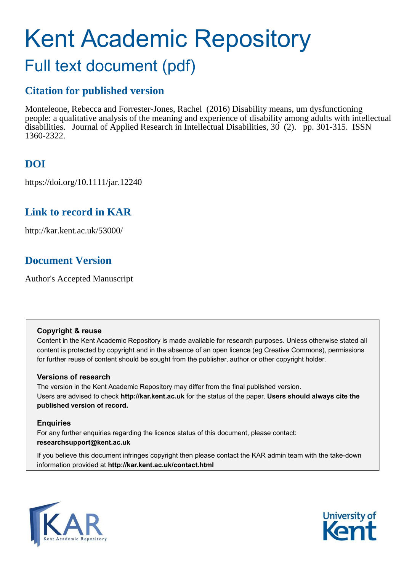# Kent Academic Repository Full text document (pdf)

# **Citation for published version**

Monteleone, Rebecca and Forrester-Jones, Rachel (2016) Disability means, um dysfunctioning people: a qualitative analysis of the meaning and experience of disability among adults with intellectual disabilities. Journal of Applied Research in Intellectual Disabilities, 30 (2). pp. 301-315. ISSN 1360-2322.

# **DOI**

https://doi.org/10.1111/jar.12240

# **Link to record in KAR**

http://kar.kent.ac.uk/53000/

# **Document Version**

Author's Accepted Manuscript

# **Copyright & reuse**

Content in the Kent Academic Repository is made available for research purposes. Unless otherwise stated all content is protected by copyright and in the absence of an open licence (eg Creative Commons), permissions for further reuse of content should be sought from the publisher, author or other copyright holder.

# **Versions of research**

The version in the Kent Academic Repository may differ from the final published version. Users are advised to check **http://kar.kent.ac.uk** for the status of the paper. **Users should always cite the published version of record.**

# **Enquiries**

For any further enquiries regarding the licence status of this document, please contact: **researchsupport@kent.ac.uk**

If you believe this document infringes copyright then please contact the KAR admin team with the take-down information provided at **http://kar.kent.ac.uk/contact.html**



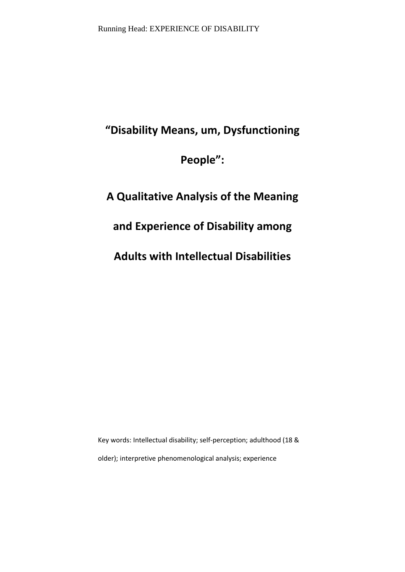# "Disability Means, um, Dysfunctioning

People":

# **A Qualitative Analysis of the Meaning**

# **and Experience of Disability among**

**Adults with Intellectual Disabilities** 

Key words: Intellectual disability; self-perception; adulthood (18 & older); interpretive phenomenological analysis; experience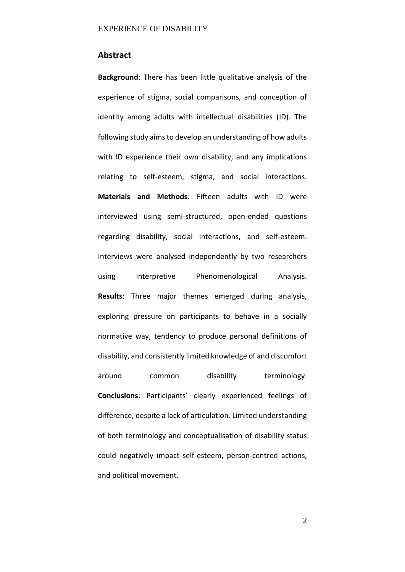# **Abstract**

**Background**: There has been little qualitative analysis of the experience of stigma, social comparisons, and conception of identity among adults with intellectual disabilities (ID). The following study aims to develop an understanding of how adults with ID experience their own disability, and any implications relating to self-esteem, stigma, and social interactions. **Materials and Methods**: Fifteen adults with ID were interviewed using semi-structured, open-ended questions regarding disability, social interactions, and self-esteem. Interviews were analysed independently by two researchers using Interpretive Phenomenological Analysis. **Results**: Three major themes emerged during analysis, exploring pressure on participants to behave in a socially normative way, tendency to produce personal definitions of disability, and consistently limited knowledge of and discomfort around common disability terminology. **Conclusions:** Participants' clearly experienced feelings of difference, despite a lack of articulation. Limited understanding of both terminology and conceptualisation of disability status could negatively impact self-esteem, person-centred actions, and political movement.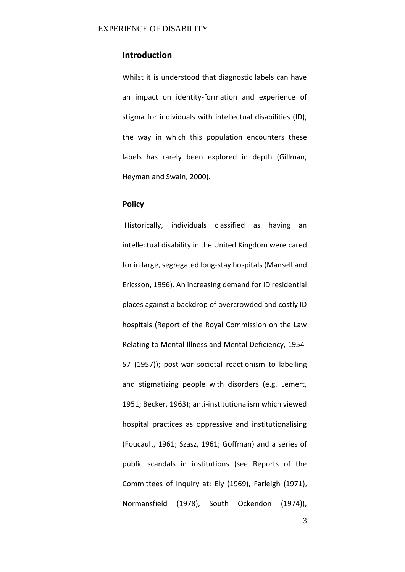# **Introduction**

Whilst it is understood that diagnostic labels can have an impact on identity-formation and experience of stigma for individuals with intellectual disabilities (ID), the way in which this population encounters these labels has rarely been explored in depth (Gillman, Heyman and Swain, 2000).

# **Policy**

 Historically, individuals classified as having an intellectual disability in the United Kingdom were cared for in large, segregated long-stay hospitals (Mansell and Ericsson, 1996). An increasing demand for ID residential places against a backdrop of overcrowded and costly ID hospitals (Report of the Royal Commission on the Law Relating to Mental Illness and Mental Deficiency, 1954- 57 (1957)); post-war societal reactionism to labelling and stigmatizing people with disorders (e.g. Lemert, 1951; Becker, 1963); anti-institutionalism which viewed hospital practices as oppressive and institutionalising (Foucault, 1961; Szasz, 1961; Goffman) and a series of public scandals in institutions (see Reports of the Committees of Inquiry at: Ely (1969), Farleigh (1971), Normansfield (1978), South Ockendon (1974)),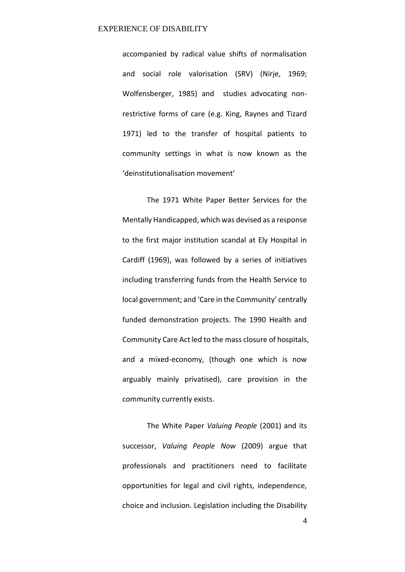accompanied by radical value shifts of normalisation and social role valorisation (SRV) (Nirje, 1969; Wolfensberger, 1985) and studies advocating nonrestrictive forms of care (e.g. King, Raynes and Tizard 1971) led to the transfer of hospital patients to community settings in what is now known as the 'deinstitutionalisation movement'

The 1971 White Paper Better Services for the Mentally Handicapped, which was devised as a response to the first major institution scandal at Ely Hospital in Cardiff (1969), was followed by a series of initiatives including transferring funds from the Health Service to local government; and 'Care in the Community' centrally funded demonstration projects. The 1990 Health and Community Care Act led to the mass closure of hospitals, and a mixed-economy, (though one which is now arguably mainly privatised), care provision in the community currently exists.

 The White Paper *Valuing People* (2001) and its successor, *Valuing People Now* (2009) argue that professionals and practitioners need to facilitate opportunities for legal and civil rights, independence, choice and inclusion. Legislation including the Disability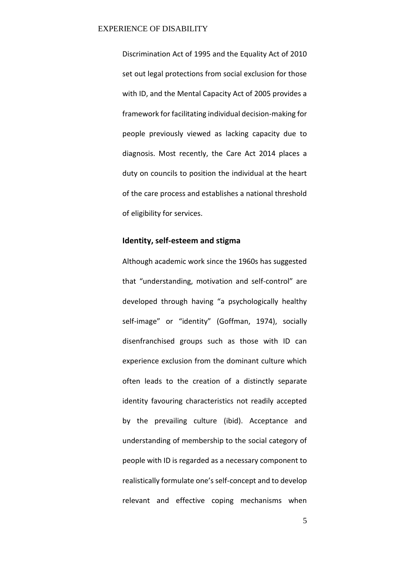Discrimination Act of 1995 and the Equality Act of 2010 set out legal protections from social exclusion for those with ID, and the Mental Capacity Act of 2005 provides a framework for facilitating individual decision-making for people previously viewed as lacking capacity due to diagnosis. Most recently, the Care Act 2014 places a duty on councils to position the individual at the heart of the care process and establishes a national threshold of eligibility for services.

# **Identity, self-esteem and stigma**

Although academic work since the 1960s has suggested that "understanding, motivation and self-control" are developed through having "a psychologically healthy self-image" or "identity" (Goffman, 1974), socially disenfranchised groups such as those with ID can experience exclusion from the dominant culture which often leads to the creation of a distinctly separate identity favouring characteristics not readily accepted by the prevailing culture (ibid). Acceptance and understanding of membership to the social category of people with ID is regarded as a necessary component to realistically formulate one's self-concept and to develop relevant and effective coping mechanisms when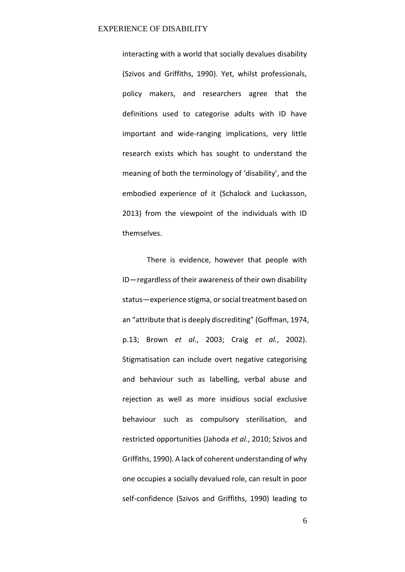interacting with a world that socially devalues disability (Szivos and Griffiths, 1990). Yet, whilst professionals, policy makers, and researchers agree that the definitions used to categorise adults with ID have important and wide-ranging implications, very little research exists which has sought to understand the meaning of both the terminology of 'disability', and the embodied experience of it (Schalock and Luckasson, 2013) from the viewpoint of the individuals with ID themselves.

 There is evidence, however that people with ID-regardless of their awareness of their own disability status-experience stigma, or social treatment based on an "attribute that is deeply discrediting" (Goffman, 1974, p.13; Brown *et al*., 2003; Craig *et al.*, 2002). Stigmatisation can include overt negative categorising and behaviour such as labelling, verbal abuse and rejection as well as more insidious social exclusive behaviour such as compulsory sterilisation, and restricted opportunities (Jahoda *et al.*, 2010; Szivos and Griffiths, 1990). A lack of coherent understanding of why one occupies a socially devalued role, can result in poor self-confidence (Szivos and Griffiths, 1990) leading to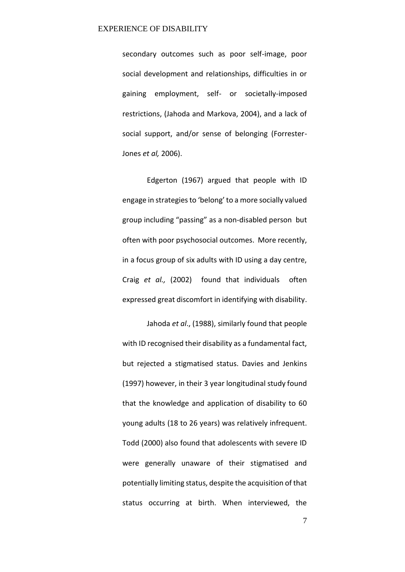secondary outcomes such as poor self-image, poor social development and relationships, difficulties in or gaining employment, self- or societally-imposed restrictions, (Jahoda and Markova, 2004), and a lack of social support, and/or sense of belonging (Forrester-Jones *et al,* 2006).

 Edgerton (1967) argued that people with ID engage in strategies to 'belong' to a more socially valued group including "passing" as a non-disabled person but often with poor psychosocial outcomes. More recently, in a focus group of six adults with ID using a day centre, Craig *et al.,* (2002) found that individuals often expressed great discomfort in identifying with disability.

 Jahoda *et al*., (1988), similarly found that people with ID recognised their disability as a fundamental fact, but rejected a stigmatised status. Davies and Jenkins (1997) however, in their 3 year longitudinal study found that the knowledge and application of disability to 60 young adults (18 to 26 years) was relatively infrequent. Todd (2000) also found that adolescents with severe ID were generally unaware of their stigmatised and potentially limiting status, despite the acquisition of that status occurring at birth. When interviewed, the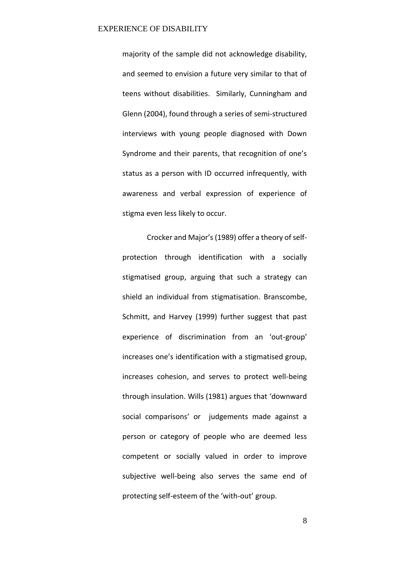majority of the sample did not acknowledge disability, and seemed to envision a future very similar to that of teens without disabilities. Similarly, Cunningham and Glenn (2004), found through a series of semi-structured interviews with young people diagnosed with Down Syndrome and their parents, that recognition of one's status as a person with ID occurred infrequently, with awareness and verbal expression of experience of stigma even less likely to occur.

Crocker and Major's (1989) offer a theory of selfprotection through identification with a socially stigmatised group, arguing that such a strategy can shield an individual from stigmatisation. Branscombe, Schmitt, and Harvey (1999) further suggest that past experience of discrimination from an 'out-group' increases one's identification with a stigmatised group, increases cohesion, and serves to protect well-being through insulation. Wills (1981) argues that 'downward social comparisons' or judgements made against a person or category of people who are deemed less competent or socially valued in order to improve subjective well-being also serves the same end of protecting self-esteem of the 'with-out' group.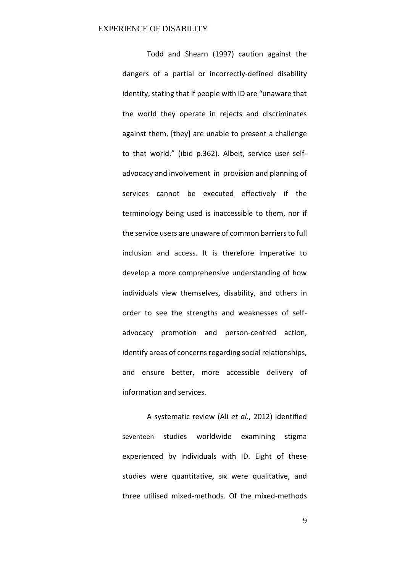Todd and Shearn (1997) caution against the dangers of a partial or incorrectly-defined disability identity, stating that if people with ID are "unaware that the world they operate in rejects and discriminates against them, [they] are unable to present a challenge to that world." (ibid p.362). Albeit, service user selfadvocacy and involvement in provision and planning of services cannot be executed effectively if the terminology being used is inaccessible to them, nor if the service users are unaware of common barriers to full inclusion and access. It is therefore imperative to develop a more comprehensive understanding of how individuals view themselves, disability, and others in order to see the strengths and weaknesses of selfadvocacy promotion and person-centred action, identify areas of concerns regarding social relationships, and ensure better, more accessible delivery of information and services.

 A systematic review (Ali *et al*., 2012) identified seventeen studies worldwide examining stigma experienced by individuals with ID. Eight of these studies were quantitative, six were qualitative, and three utilised mixed-methods. Of the mixed-methods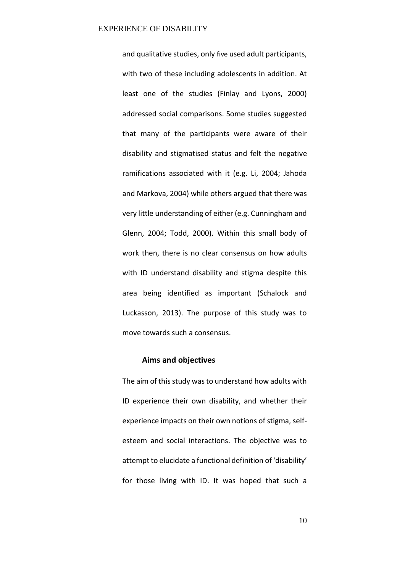and qualitative studies, only five used adult participants, with two of these including adolescents in addition. At least one of the studies (Finlay and Lyons, 2000) addressed social comparisons. Some studies suggested that many of the participants were aware of their disability and stigmatised status and felt the negative ramifications associated with it (e.g. Li, 2004; Jahoda and Markova, 2004) while others argued that there was very little understanding of either (e.g. Cunningham and Glenn, 2004; Todd, 2000). Within this small body of work then, there is no clear consensus on how adults with ID understand disability and stigma despite this area being identified as important (Schalock and Luckasson, 2013). The purpose of this study was to move towards such a consensus.

# **Aims and objectives**

The aim of this study was to understand how adults with ID experience their own disability, and whether their experience impacts on their own notions of stigma, selfesteem and social interactions. The objective was to attempt to elucidate a functional definition of 'disability' for those living with ID. It was hoped that such a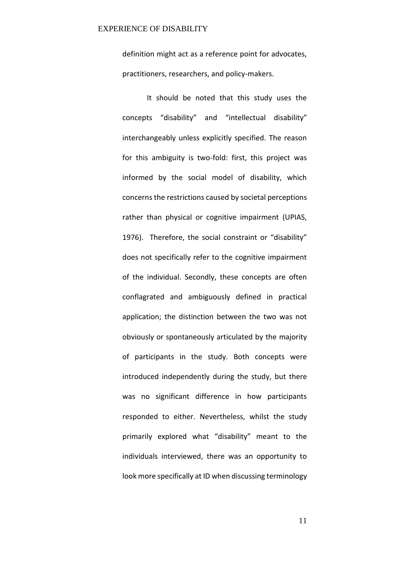definition might act as a reference point for advocates, practitioners, researchers, and policy-makers.

It should be noted that this study uses the concepts "disability" and "intellectual disability" interchangeably unless explicitly specified. The reason for this ambiguity is two-fold: first, this project was informed by the social model of disability, which concerns the restrictions caused by societal perceptions rather than physical or cognitive impairment (UPIAS, 1976). Therefore, the social constraint or "disability" does not specifically refer to the cognitive impairment of the individual. Secondly, these concepts are often conflagrated and ambiguously defined in practical application; the distinction between the two was not obviously or spontaneously articulated by the majority of participants in the study. Both concepts were introduced independently during the study, but there was no significant difference in how participants responded to either. Nevertheless, whilst the study primarily explored what "disability" meant to the individuals interviewed, there was an opportunity to look more specifically at ID when discussing terminology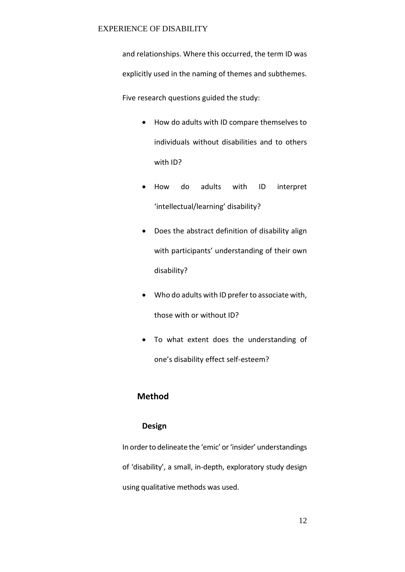and relationships. Where this occurred, the term ID was explicitly used in the naming of themes and subthemes.

Five research questions guided the study:

- How do adults with ID compare themselves to individuals without disabilities and to others with ID?
- How do adults with ID interpret 'intellectual/learning' disability?
- Does the abstract definition of disability align with participants' understanding of their own disability?
- Who do adults with ID prefer to associate with, those with or without ID?
- To what extent does the understanding of one's disability effect self-esteem?

# **Method**

# **Design**

In order to delineate the 'emic' or 'insider' understandings of 'disability', a small, in-depth, exploratory study design using qualitative methods was used.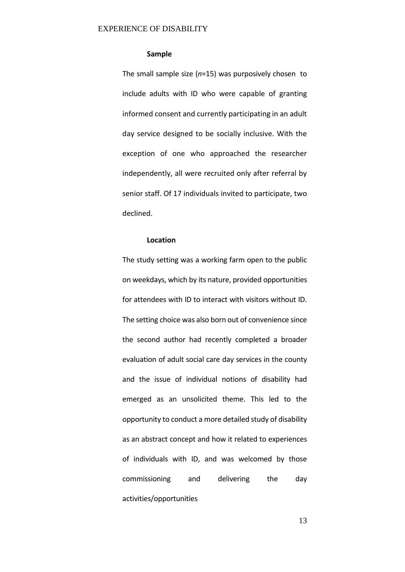# **Sample**

The small sample size (*n*=15) was purposively chosen to include adults with ID who were capable of granting informed consent and currently participating in an adult day service designed to be socially inclusive. With the exception of one who approached the researcher independently, all were recruited only after referral by senior staff. Of 17 individuals invited to participate, two declined.

# **Location**

The study setting was a working farm open to the public on weekdays, which by its nature, provided opportunities for attendees with ID to interact with visitors without ID. The setting choice was also born out of convenience since the second author had recently completed a broader evaluation of adult social care day services in the county and the issue of individual notions of disability had emerged as an unsolicited theme. This led to the opportunity to conduct a more detailed study of disability as an abstract concept and how it related to experiences of individuals with ID, and was welcomed by those commissioning and delivering the day activities/opportunities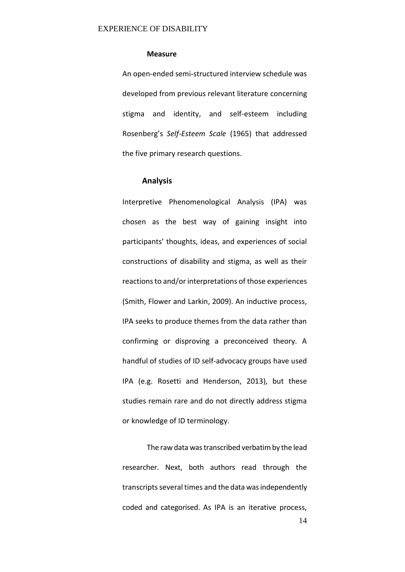### **Measure**

An open-ended semi-structured interview schedule was developed from previous relevant literature concerning stigma and identity, and self-esteem including Rosenberg's Self-Esteem Scale (1965) that addressed the five primary research questions.

### **Analysis**

Interpretive Phenomenological Analysis (IPA) was chosen as the best way of gaining insight into participants' thoughts, ideas, and experiences of social constructions of disability and stigma, as well as their reactions to and/or interpretations of those experiences (Smith, Flower and Larkin, 2009). An inductive process, IPA seeks to produce themes from the data rather than confirming or disproving a preconceived theory. A handful of studies of ID self-advocacy groups have used IPA (e.g. Rosetti and Henderson, 2013), but these studies remain rare and do not directly address stigma or knowledge of ID terminology.

14 The raw data was transcribed verbatim by the lead researcher. Next, both authors read through the transcripts several times and the data was independently coded and categorised. As IPA is an iterative process,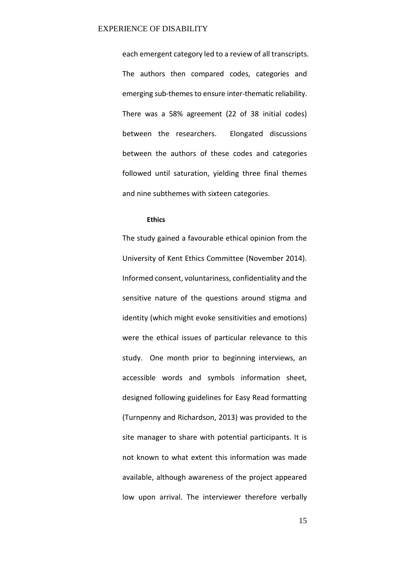each emergent category led to a review of all transcripts. The authors then compared codes, categories and emerging sub-themes to ensure inter-thematic reliability. There was a 58% agreement (22 of 38 initial codes) between the researchers. Elongated discussions between the authors of these codes and categories followed until saturation, yielding three final themes and nine subthemes with sixteen categories.

# **Ethics**

The study gained a favourable ethical opinion from the University of Kent Ethics Committee (November 2014). Informed consent, voluntariness, confidentiality and the sensitive nature of the questions around stigma and identity (which might evoke sensitivities and emotions) were the ethical issues of particular relevance to this study. One month prior to beginning interviews, an accessible words and symbols information sheet, designed following guidelines for Easy Read formatting (Turnpenny and Richardson, 2013) was provided to the site manager to share with potential participants. It is not known to what extent this information was made available, although awareness of the project appeared low upon arrival. The interviewer therefore verbally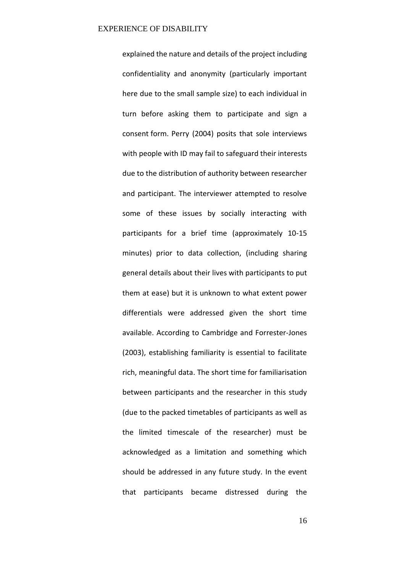explained the nature and details of the project including confidentiality and anonymity (particularly important here due to the small sample size) to each individual in turn before asking them to participate and sign a consent form. Perry (2004) posits that sole interviews with people with ID may fail to safeguard their interests due to the distribution of authority between researcher and participant. The interviewer attempted to resolve some of these issues by socially interacting with participants for a brief time (approximately 10-15 minutes) prior to data collection, (including sharing general details about their lives with participants to put them at ease) but it is unknown to what extent power differentials were addressed given the short time available. According to Cambridge and Forrester-Jones (2003), establishing familiarity is essential to facilitate rich, meaningful data. The short time for familiarisation between participants and the researcher in this study (due to the packed timetables of participants as well as the limited timescale of the researcher) must be acknowledged as a limitation and something which should be addressed in any future study. In the event that participants became distressed during the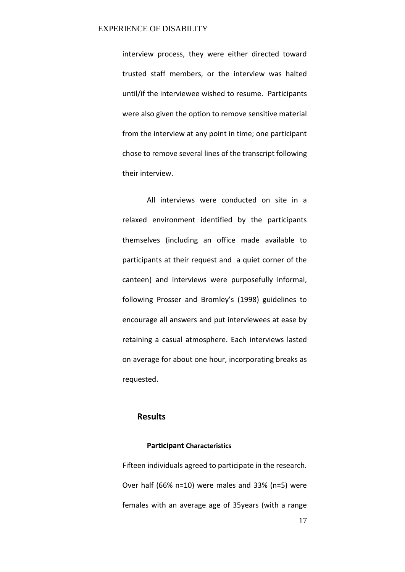interview process, they were either directed toward trusted staff members, or the interview was halted until/if the interviewee wished to resume. Participants were also given the option to remove sensitive material from the interview at any point in time; one participant chose to remove several lines of the transcript following their interview.

All interviews were conducted on site in a relaxed environment identified by the participants themselves (including an office made available to participants at their request and a quiet corner of the canteen) and interviews were purposefully informal, following Prosser and Bromley's (1998) guidelines to encourage all answers and put interviewees at ease by retaining a casual atmosphere. Each interviews lasted on average for about one hour, incorporating breaks as requested.

# **Results**

# **Participant Characteristics**

Fifteen individuals agreed to participate in the research. Over half (66% n=10) were males and 33% (n=5) were females with an average age of 35years (with a range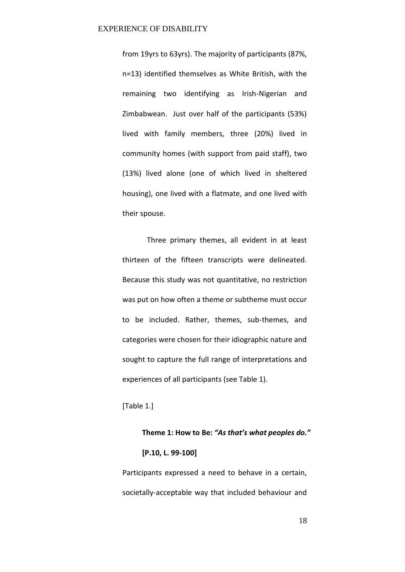from 19yrs to 63yrs). The majority of participants (87%, n=13) identified themselves as White British, with the remaining two identifying as Irish-Nigerian and Zimbabwean. Just over half of the participants (53%) lived with family members, three (20%) lived in community homes (with support from paid staff), two (13%) lived alone (one of which lived in sheltered housing), one lived with a flatmate, and one lived with their spouse.

 Three primary themes, all evident in at least thirteen of the fifteen transcripts were delineated. Because this study was not quantitative, no restriction was put on how often a theme or subtheme must occur to be included. Rather, themes, sub-themes, and categories were chosen for their idiographic nature and sought to capture the full range of interpretations and experiences of all participants (see Table 1).

# [Table 1.]

# Theme 1: How to Be: "As that's what peoples do." **[P.10, L. 99-100]**

Participants expressed a need to behave in a certain, societally-acceptable way that included behaviour and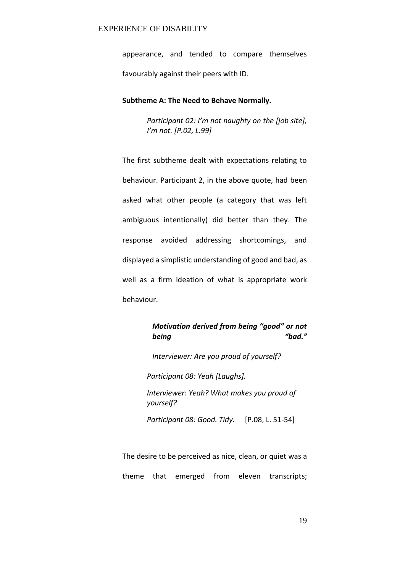appearance, and tended to compare themselves favourably against their peers with ID.

# **Subtheme A: The Need to Behave Normally.**

Participant 02: I'm not naughty on the [job site], *I'm not. [P.02, L.99]* 

The first subtheme dealt with expectations relating to behaviour. Participant 2, in the above quote, had been asked what other people (a category that was left ambiguous intentionally) did better than they. The response avoided addressing shortcomings, and displayed a simplistic understanding of good and bad, as well as a firm ideation of what is appropriate work behaviour.

# *Motivation derived from being "good" or not being*  $H$ <sup>2</sup>  $H$ <sub>2</sub>  $H$ <sup>2</sup>  $H$ <sub>2</sub>  $H$ <sup>2</sup> $H$ <sub>2</sub>  $H$ <sup>2</sup> $H$ <sub>2</sub> $H$ <sup>2</sup> $H$ <sup>2</sup> $H$ <sup>2</sup> $H$ <sup>2</sup> $H$ <sup>2</sup> $H$ <sup>2</sup> $H$ <sup>2</sup> $H$ <sup>2</sup> $H$ <sup>2</sup> $H$ <sup>2</sup> $H$ <sup>2</sup> $H$ <sup>2</sup> $H$ <sup>2</sup> $H$ <sup>2</sup> $H$ <sup>2</sup> $H$ <sup>2</sup> $H$ <sup>2</sup> $H$ <sup>2</sup> $H$ <sup>2</sup> $H$ <sup>2</sup> $H$ <sup>2</sup> $H$ <sup>2</sup> $H$ <sup>2</sup> $H$ <sup>2</sup> $H$ <sup>2</sup> $H$ <sup>2</sup> $H$ <sup>2</sup>

*Interviewer: Are you proud of yourself?*

*Participant 08: Yeah [Laughs].* 

*Interviewer: Yeah? What makes you proud of yourself?* 

*Participant 08: Good. Tidy.* [P.08, L. 51-54]

The desire to be perceived as nice, clean, or quiet was a theme that emerged from eleven transcripts;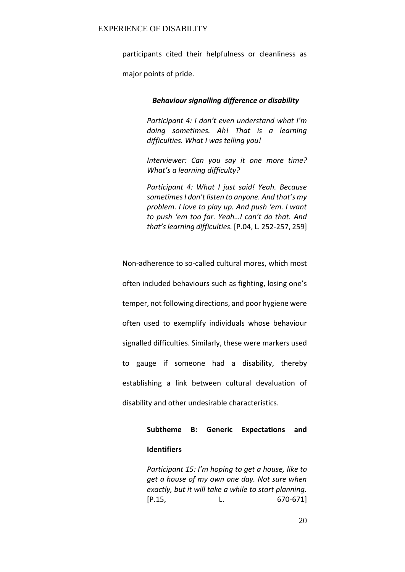participants cited their helpfulness or cleanliness as

major points of pride.

# *Behaviour signalling difference or disability*

*Participant 4: I don't even understand what I'm doing sometimes. Ah! That is a learning difficulties. What I was telling you!* 

*Interviewer: Can you say it one more time? What's a learning difficulty?* 

*Participant 4: What I just said! Yeah. Because*  sometimes I don't listen to anyone. And that's my *problem. I love to play up. And push 'em. I want* to push 'em too far. Yeah...I can't do that. And *that's learning difficulties.* [P.04, L. 252-257, 259]

Non-adherence to so-called cultural mores, which most often included behaviours such as fighting, losing one's temper, not following directions, and poor hygiene were often used to exemplify individuals whose behaviour signalled difficulties. Similarly, these were markers used to gauge if someone had a disability, thereby establishing a link between cultural devaluation of disability and other undesirable characteristics.

# **Subtheme B: Generic Expectations and Identifiers**

*Participant 15: I'm hoping to get a house, like to get a house of my own one day. Not sure when exactly, but it will take a while to start planning.* [P.15, L. 670-671]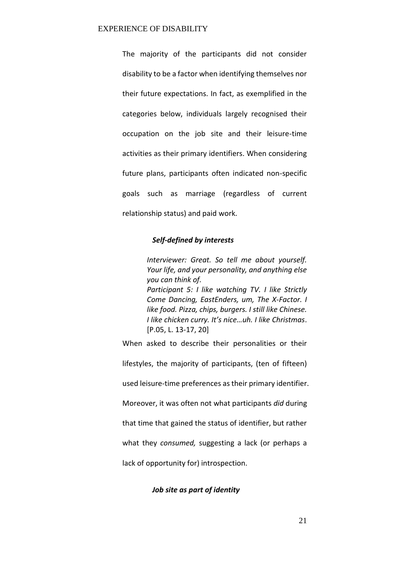The majority of the participants did not consider disability to be a factor when identifying themselves nor their future expectations. In fact, as exemplified in the categories below, individuals largely recognised their occupation on the job site and their leisure-time activities as their primary identifiers. When considering future plans, participants often indicated non-specific goals such as marriage (regardless of current relationship status) and paid work.

# *Self-defined by interests*

*Interviewer: Great. So tell me about yourself. Your life, and your personality, and anything else you can think of. Participant 5: I like watching TV. I like Strictly Come Dancing, EastEnders, um, The X-Factor. I like food. Pizza, chips, burgers. I still like Chinese. I like chicken curry. It's nice...uh. I like Christmas.* [P.05, L. 13-17, 20]

When asked to describe their personalities or their lifestyles, the majority of participants, (ten of fifteen) used leisure-time preferences as their primary identifier. Moreover, it was often not what participants *did* during that time that gained the status of identifier, but rather what they *consumed,* suggesting a lack (or perhaps a lack of opportunity for) introspection.

### *Job site as part of identity*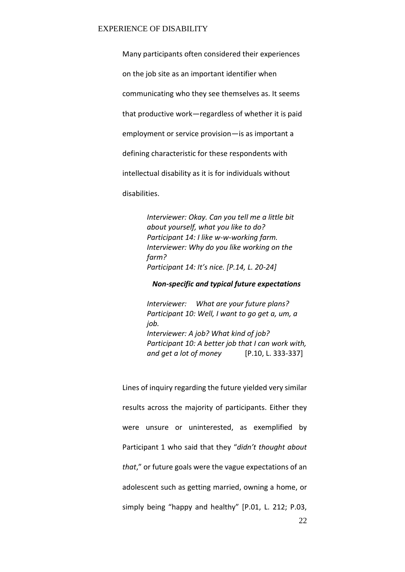Many participants often considered their experiences on the job site as an important identifier when communicating who they see themselves as. It seems that productive work-regardless of whether it is paid employment or service provision-is as important a defining characteristic for these respondents with intellectual disability as it is for individuals without disabilities.

> *Interviewer: Okay. Can you tell me a little bit about yourself, what you like to do? Participant 14: I like w-w-working farm. Interviewer: Why do you like working on the farm? Participant 14: It's nice. [P.14, L. 20-24]*

*Non-specific and typical future expectations* 

*Interviewer: What are your future plans? Participant 10: Well, I want to go get a, um, a job. Interviewer: A job? What kind of job? Participant 10: A better job that I can work with, and get a lot of money* [P.10, L. 333-337]

Lines of inquiry regarding the future yielded very similar results across the majority of participants. Either they were unsure or uninterested, as exemplified by Participant 1 who said that they "didn't thought about *that*," or future goals were the vague expectations of an adolescent such as getting married, owning a home, or simply being "happy and healthy"  $[P.01, L. 212; P.03]$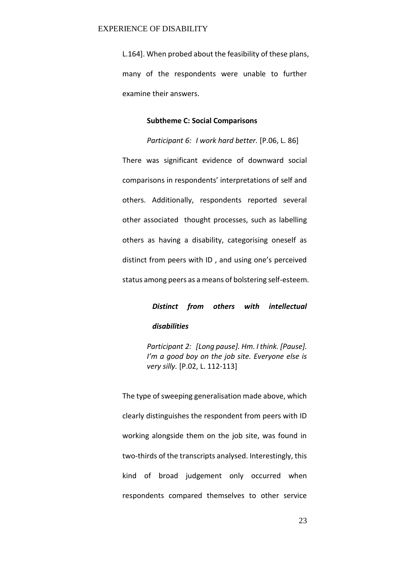L.164]. When probed about the feasibility of these plans, many of the respondents were unable to further examine their answers.

### **Subtheme C: Social Comparisons**

*Participant 6: I work hard better.* [P.06, L. 86] There was significant evidence of downward social comparisons in respondents' interpretations of self and others. Additionally, respondents reported several other associated thought processes, such as labelling others as having a disability, categorising oneself as distinct from peers with ID, and using one's perceived status among peers as a means of bolstering self-esteem.

> *Distinct from others with intellectual disabilities*

*Participant 2: [Long pause]. Hm. I think. [Pause]. I'm a good boy on the job site. Everyone else is very silly.* [P.02, L. 112-113]

The type of sweeping generalisation made above, which clearly distinguishes the respondent from peers with ID working alongside them on the job site, was found in two-thirds of the transcripts analysed. Interestingly, this kind of broad judgement only occurred when respondents compared themselves to other service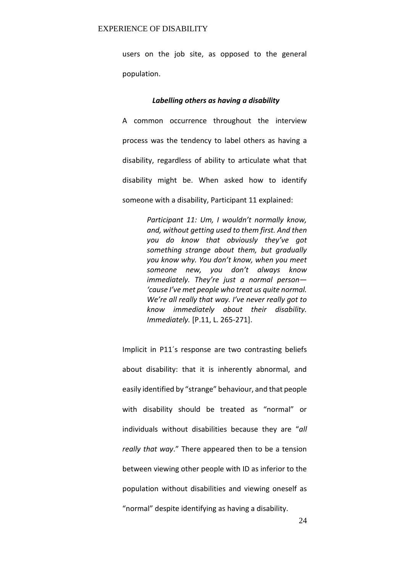users on the job site, as opposed to the general population.

### *Labelling others as having a disability*

A common occurrence throughout the interview process was the tendency to label others as having a disability, regardless of ability to articulate what that disability might be. When asked how to identify someone with a disability, Participant 11 explained:

> *Participant 11: Um, I wouldn't normally know, and, without getting used to them first. And then VOU* do know that obviously they've got *something strange about them, but gradually*  you know why. You don't know, when you meet *someone new, you don't always know immediately. They're just a normal person-*'cause I've met people who treat us quite normal. *We're all really that way. I've never really got to know immediately about their disability. Immediately.* [P.11, L. 265-271].

Implicit in P11's response are two contrasting beliefs about disability: that it is inherently abnormal, and easily identified by "strange" behaviour, and that people with disability should be treated as "normal" or individuals without disabilities because they are "all really that way." There appeared then to be a tension between viewing other people with ID as inferior to the population without disabilities and viewing oneself as "normal" despite identifying as having a disability.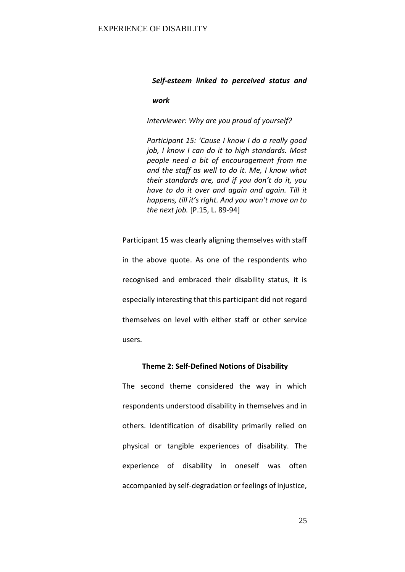# *Self-esteem linked to perceived status and*

# *work*

*Interviewer: Why are you proud of yourself?* 

*Participant 15: 'Cause I know I do a really good job, I know I can do it to high standards. Most people need a bit of encouragement from me and the staff as well to do it. Me, I know what their standards are, and if you don't do it, you have to do it over and again and again. Till it happens, till it's right. And you won't move on to the next job.* [P.15, L. 89-94]

Participant 15 was clearly aligning themselves with staff in the above quote. As one of the respondents who recognised and embraced their disability status, it is especially interesting that this participant did not regard themselves on level with either staff or other service users.

### **Theme 2: Self-Defined Notions of Disability**

The second theme considered the way in which respondents understood disability in themselves and in others. Identification of disability primarily relied on physical or tangible experiences of disability. The experience of disability in oneself was often accompanied by self-degradation or feelings of injustice,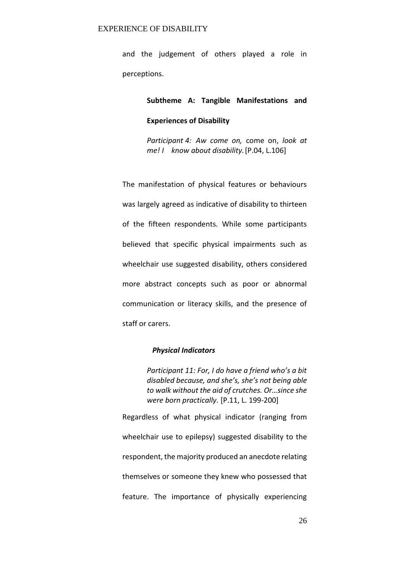and the judgement of others played a role in perceptions.

# **Subtheme A: Tangible Manifestations and**

### **Experiences of Disability**

 *Participant 4: Aw come on,* come on, *look at me! I know about disability.* [P.04, L.106]

The manifestation of physical features or behaviours was largely agreed as indicative of disability to thirteen of the fifteen respondents. While some participants believed that specific physical impairments such as wheelchair use suggested disability, others considered more abstract concepts such as poor or abnormal communication or literacy skills, and the presence of staff or carers.

### *Physical Indicators*

Participant 11: For, I do have a friend who's a bit disabled because, and she's, she's not being able to walk without the aid of crutches. Or...since she *were born practically.* [P.11, L. 199-200]

Regardless of what physical indicator (ranging from wheelchair use to epilepsy) suggested disability to the respondent, the majority produced an anecdote relating themselves or someone they knew who possessed that feature. The importance of physically experiencing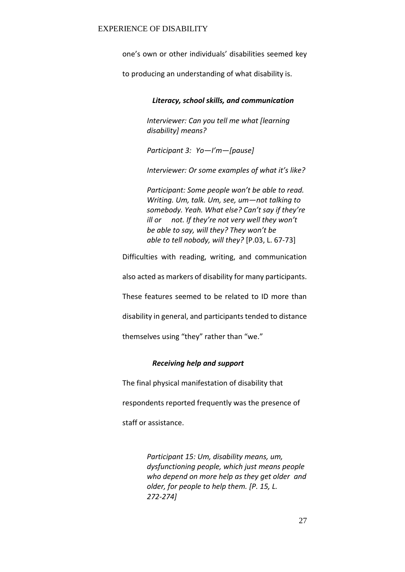one's own or other individuals' disabilities seemed key

to producing an understanding of what disability is.

*Literacy, school skills, and communication* 

*Interviewer: Can you tell me what [learning disability] means?* 

*Participant 3: Yo-I'm-[pause]* 

Interviewer: Or some examples of what it's like?

*Participant: Some people won't be able to read. Writing. Um, talk. Um, see, umねnot talking to*  somebody. Yeah. What else? Can't say if they're *ill or not. If they're not very well they won't he able to say, will they? They won't be able to tell nobody, will they?* [P.03, L. 67-73]

Difficulties with reading, writing, and communication

also acted as markers of disability for many participants.

These features seemed to be related to ID more than

disability in general, and participants tended to distance

themselves using "they" rather than "we."

# *Receiving help and support*

The final physical manifestation of disability that

respondents reported frequently was the presence of

staff or assistance.

 *Participant 15: Um, disability means, um, dysfunctioning people, which just means people who depend on more help as they get older and older, for people to help them. [P. 15, L. 272-274]*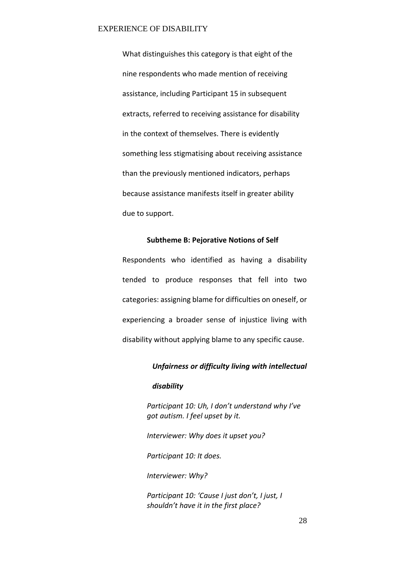What distinguishes this category is that eight of the nine respondents who made mention of receiving assistance, including Participant 15 in subsequent extracts, referred to receiving assistance for disability in the context of themselves. There is evidently something less stigmatising about receiving assistance than the previously mentioned indicators, perhaps because assistance manifests itself in greater ability due to support.

# **Subtheme B: Pejorative Notions of Self**

Respondents who identified as having a disability tended to produce responses that fell into two categories: assigning blame for difficulties on oneself, or experiencing a broader sense of injustice living with disability without applying blame to any specific cause.

# *Unfairness or difficulty living with intellectual*

# *disability*

*Participant 10: Uh. I don't understand why I've got autism. I feel upset by it.* 

*Interviewer: Why does it upset you?* 

*Participant 10: It does.* 

*Interviewer: Why?* 

*Participant 10: 'Cause I just don't, I just, I* shouldn't have it in the first place?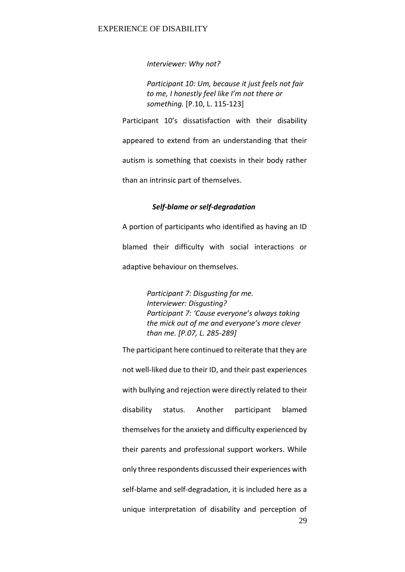*Interviewer: Why not?* 

*Participant 10: Um, because it just feels not fair*  to me. I honestly feel like I'm not there or *something.* [P.10, L. 115-123]

Participant 10's dissatisfaction with their disability appeared to extend from an understanding that their autism is something that coexists in their body rather than an intrinsic part of themselves.

# *Self-blame or self-degradation*

A portion of participants who identified as having an ID blamed their difficulty with social interactions or adaptive behaviour on themselves.

> *Participant 7: Disgusting for me. Interviewer: Disgusting? Participant 7: 'Cause everyone's always taking* the mick out of me and everyone's more clever *than me. [P.07, L. 285-289]*

29 The participant here continued to reiterate that they are not well-liked due to their ID, and their past experiences with bullying and rejection were directly related to their disability status. Another participant blamed themselves for the anxiety and difficulty experienced by their parents and professional support workers. While only three respondents discussed their experiences with self-blame and self-degradation, it is included here as a unique interpretation of disability and perception of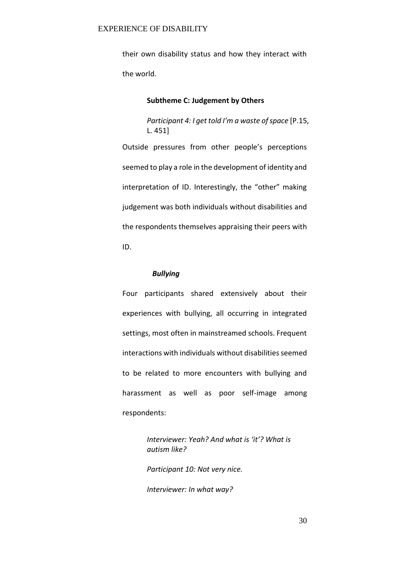their own disability status and how they interact with the world.

# **Subtheme C: Judgement by Others**

*Participant 4: I get told I'm a waste of space* [P.15, L. 451]

Outside pressures from other people's perceptions seemed to play a role in the development of identity and interpretation of ID. Interestingly, the "other" making judgement was both individuals without disabilities and the respondents themselves appraising their peers with ID.

# *Bullying*

Four participants shared extensively about their experiences with bullying, all occurring in integrated settings, most often in mainstreamed schools. Frequent interactions with individuals without disabilities seemed to be related to more encounters with bullying and harassment as well as poor self-image among respondents:

> *Interviewer: Yeah? And what is 'it'? What is autism like?*

*Participant 10: Not very nice.* 

*Interviewer: In what way?*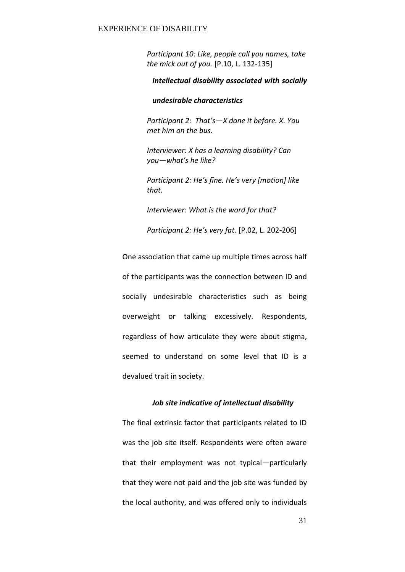*Participant 10: Like, people call you names, take the mick out of you.* [P.10, L. 132-135]

# *Intellectual disability associated with socially*

# *undesirable characteristics*

*Participant 2: That's-X done it before. X. You met him on the bus.* 

 *Interviewer: X has a learning disability? Can you* — what's he like?

*Participant 2: He's fine. He's very [motion] like that.* 

 *Interviewer: What is the word for that?* 

*Participant 2: He's very fat.* [P.02, L. 202-206]

One association that came up multiple times across half of the participants was the connection between ID and socially undesirable characteristics such as being overweight or talking excessively. Respondents, regardless of how articulate they were about stigma, seemed to understand on some level that ID is a devalued trait in society.

# *Job site indicative of intellectual disability*

The final extrinsic factor that participants related to ID was the job site itself. Respondents were often aware that their employment was not typical-particularly that they were not paid and the job site was funded by the local authority, and was offered only to individuals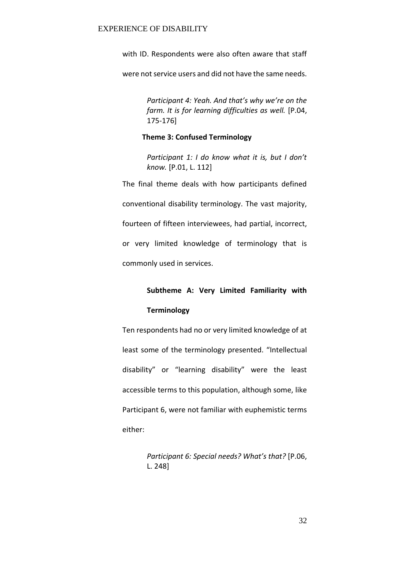with ID. Respondents were also often aware that staff

were not service users and did not have the same needs.

*Participant 4: Yeah. And that's why we're on the farm. It is for learning difficulties as well.* [P.04, 175-176]

# **Theme 3: Confused Terminology**

Participant 1: I do know what it is, but I don't *know.* [P.01, L. 112]

The final theme deals with how participants defined conventional disability terminology. The vast majority, fourteen of fifteen interviewees, had partial, incorrect, or very limited knowledge of terminology that is commonly used in services.

# **Subtheme A: Very Limited Familiarity with**

# **Terminology**

Ten respondents had no or very limited knowledge of at least some of the terminology presented. "Intellectual disability" or "learning disability" were the least accessible terms to this population, although some, like Participant 6, were not familiar with euphemistic terms either:

> *Participant 6: Special needs? What's that?* [P.06, L. 248]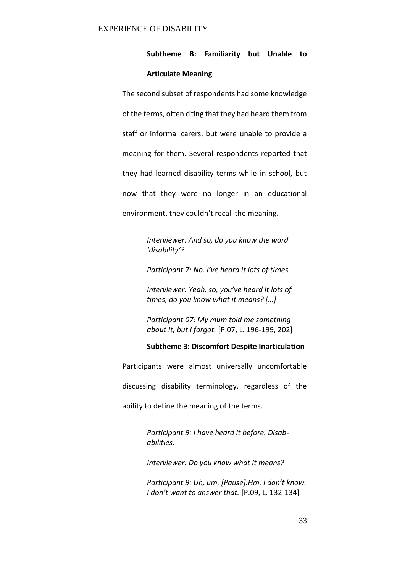# **Subtheme B: Familiarity but Unable to**

# **Articulate Meaning**

The second subset of respondents had some knowledge of the terms, often citing that they had heard them from staff or informal carers, but were unable to provide a meaning for them. Several respondents reported that they had learned disability terms while in school, but now that they were no longer in an educational environment, they couldn't recall the meaning.

> *Interviewer: And so, do you know the word 'disability'?*

*Participant 7: No. I've heard it lots of times.* 

*Interviewer: Yeah, so, you've heard it lots of times, do you know what it means?* [...]

*Participant 07: My mum told me something about it, but I forgot.* [P.07, L. 196-199, 202]

# **Subtheme 3: Discomfort Despite Inarticulation**

Participants were almost universally uncomfortable discussing disability terminology, regardless of the

ability to define the meaning of the terms.

*Participant 9: I have heard it before. Disababilities.* 

*Interviewer: Do you know what it means?* 

Participant 9: Uh, um. [Pause].Hm. I don't know. *I don't want to answer that.* [P.09, L. 132-134]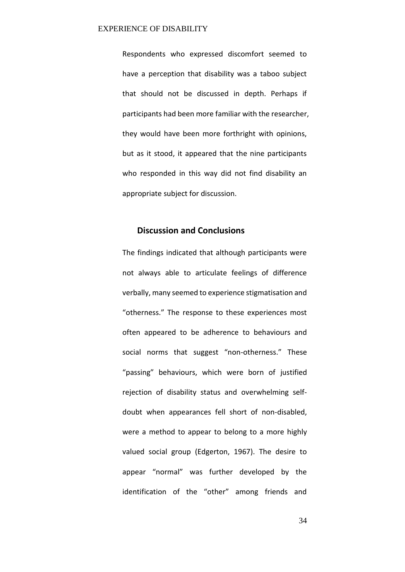Respondents who expressed discomfort seemed to have a perception that disability was a taboo subject that should not be discussed in depth. Perhaps if participants had been more familiar with the researcher, they would have been more forthright with opinions, but as it stood, it appeared that the nine participants who responded in this way did not find disability an appropriate subject for discussion.

# **Discussion and Conclusions**

The findings indicated that although participants were not always able to articulate feelings of difference verbally, many seemed to experience stigmatisation and "otherness." The response to these experiences most often appeared to be adherence to behaviours and social norms that suggest "non-otherness." These "passing" behaviours, which were born of justified rejection of disability status and overwhelming selfdoubt when appearances fell short of non-disabled, were a method to appear to belong to a more highly valued social group (Edgerton, 1967). The desire to appear "normal" was further developed by the identification of the "other" among friends and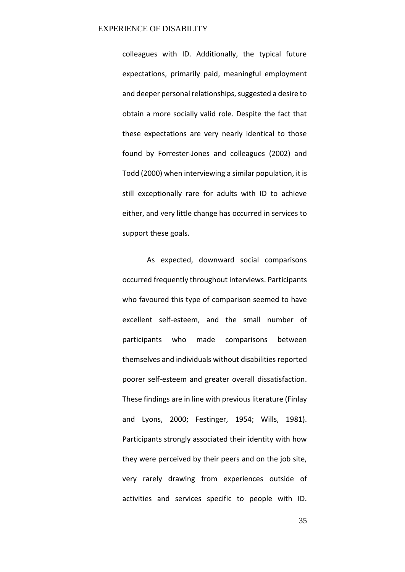colleagues with ID. Additionally, the typical future expectations, primarily paid, meaningful employment and deeper personal relationships, suggested a desire to obtain a more socially valid role. Despite the fact that these expectations are very nearly identical to those found by Forrester-Jones and colleagues (2002) and Todd (2000) when interviewing a similar population, it is still exceptionally rare for adults with ID to achieve either, and very little change has occurred in services to support these goals.

 As expected, downward social comparisons occurred frequently throughout interviews. Participants who favoured this type of comparison seemed to have excellent self-esteem, and the small number of participants who made comparisons between themselves and individuals without disabilities reported poorer self-esteem and greater overall dissatisfaction. These findings are in line with previous literature (Finlay and Lyons, 2000; Festinger, 1954; Wills, 1981). Participants strongly associated their identity with how they were perceived by their peers and on the job site, very rarely drawing from experiences outside of activities and services specific to people with ID.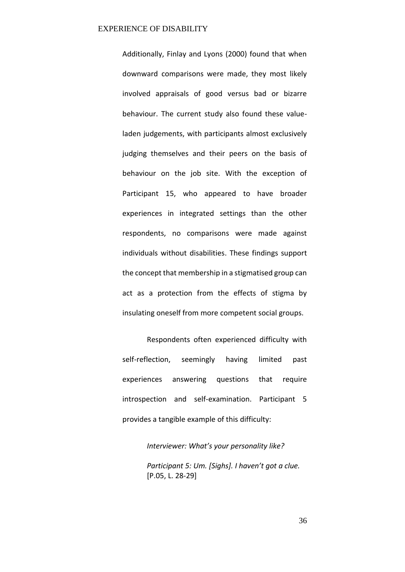Additionally, Finlay and Lyons (2000) found that when downward comparisons were made, they most likely involved appraisals of good versus bad or bizarre behaviour. The current study also found these valueladen judgements, with participants almost exclusively judging themselves and their peers on the basis of behaviour on the job site. With the exception of Participant 15, who appeared to have broader experiences in integrated settings than the other respondents, no comparisons were made against individuals without disabilities. These findings support the concept that membership in a stigmatised group can act as a protection from the effects of stigma by insulating oneself from more competent social groups.

 Respondents often experienced difficulty with self-reflection, seemingly having limited past experiences answering questions that require introspection and self-examination. Participant 5 provides a tangible example of this difficulty:

> *Interviewer: What's your personality like?* Participant 5: Um. [Sighs]. I haven't got a clue. [P.05, L. 28-29]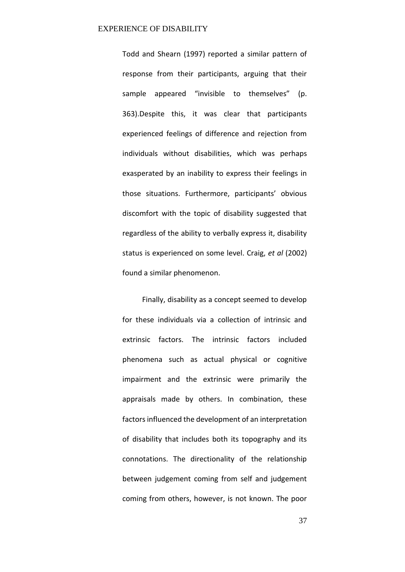Todd and Shearn (1997) reported a similar pattern of response from their participants, arguing that their sample appeared "invisible to themselves" (p. 363).Despite this, it was clear that participants experienced feelings of difference and rejection from individuals without disabilities, which was perhaps exasperated by an inability to express their feelings in those situations. Furthermore, participants' obvious discomfort with the topic of disability suggested that regardless of the ability to verbally express it, disability status is experienced on some level. Craig, *et al* (2002) found a similar phenomenon.

Finally, disability as a concept seemed to develop for these individuals via a collection of intrinsic and extrinsic factors. The intrinsic factors included phenomena such as actual physical or cognitive impairment and the extrinsic were primarily the appraisals made by others. In combination, these factors influenced the development of an interpretation of disability that includes both its topography and its connotations. The directionality of the relationship between judgement coming from self and judgement coming from others, however, is not known. The poor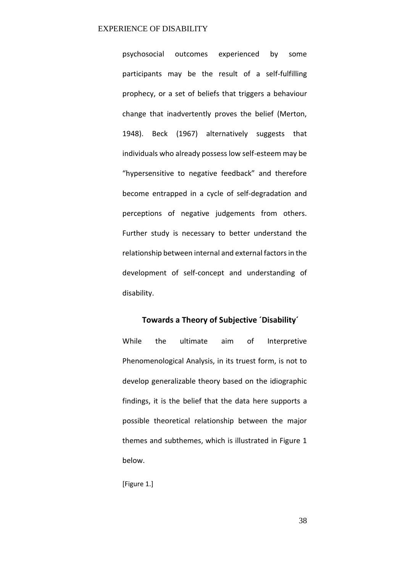psychosocial outcomes experienced by some participants may be the result of a self-fulfilling prophecy, or a set of beliefs that triggers a behaviour change that inadvertently proves the belief (Merton, 1948). Beck (1967) alternatively suggests that individuals who already possess low self-esteem may be "hypersensitive to negative feedback" and therefore become entrapped in a cycle of self-degradation and perceptions of negative judgements from others. Further study is necessary to better understand the relationship between internal and external factors in the development of self-concept and understanding of disability.

# Towards a Theory of Subjective 'Disability'

While the ultimate aim of Interpretive Phenomenological Analysis, in its truest form, is not to develop generalizable theory based on the idiographic findings, it is the belief that the data here supports a possible theoretical relationship between the major themes and subthemes, which is illustrated in Figure 1 below.

[Figure 1.]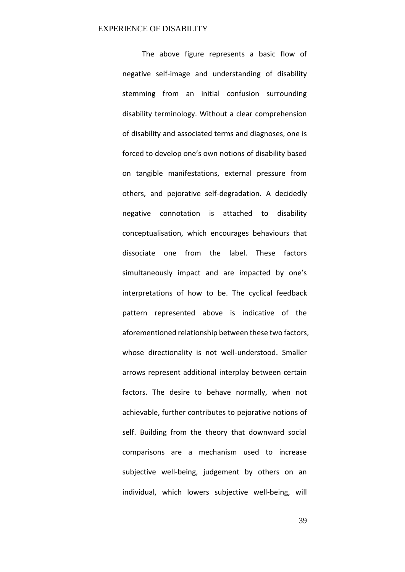The above figure represents a basic flow of negative self-image and understanding of disability stemming from an initial confusion surrounding disability terminology. Without a clear comprehension of disability and associated terms and diagnoses, one is forced to develop one's own notions of disability based on tangible manifestations, external pressure from others, and pejorative self-degradation. A decidedly negative connotation is attached to disability conceptualisation, which encourages behaviours that dissociate one from the label. These factors simultaneously impact and are impacted by one's interpretations of how to be. The cyclical feedback pattern represented above is indicative of the aforementioned relationship between these two factors, whose directionality is not well-understood. Smaller arrows represent additional interplay between certain factors. The desire to behave normally, when not achievable, further contributes to pejorative notions of self. Building from the theory that downward social comparisons are a mechanism used to increase subjective well-being, judgement by others on an individual, which lowers subjective well-being, will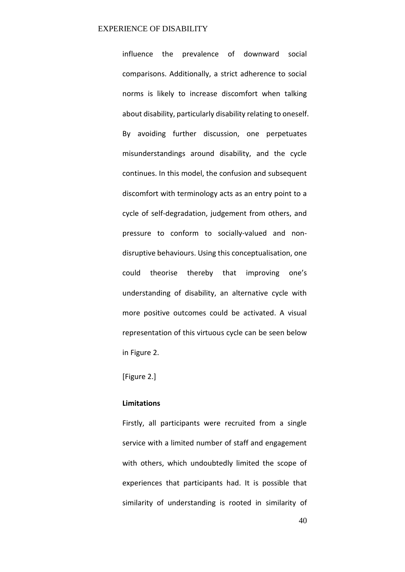influence the prevalence of downward social comparisons. Additionally, a strict adherence to social norms is likely to increase discomfort when talking about disability, particularly disability relating to oneself. By avoiding further discussion, one perpetuates misunderstandings around disability, and the cycle continues. In this model, the confusion and subsequent discomfort with terminology acts as an entry point to a cycle of self-degradation, judgement from others, and pressure to conform to socially-valued and nondisruptive behaviours. Using this conceptualisation, one could theorise thereby that improving one's understanding of disability, an alternative cycle with more positive outcomes could be activated. A visual representation of this virtuous cycle can be seen below in Figure 2.

[Figure 2.]

# **Limitations**

Firstly, all participants were recruited from a single service with a limited number of staff and engagement with others, which undoubtedly limited the scope of experiences that participants had. It is possible that similarity of understanding is rooted in similarity of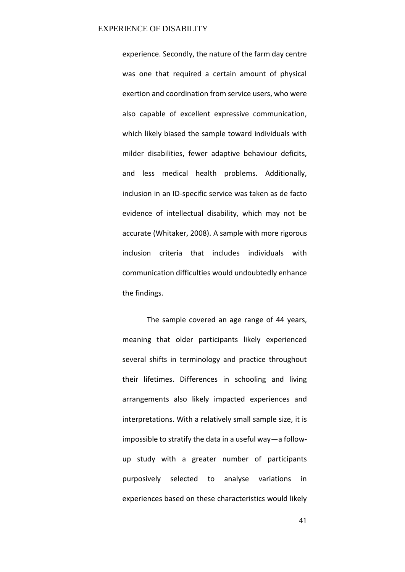experience. Secondly, the nature of the farm day centre was one that required a certain amount of physical exertion and coordination from service users, who were also capable of excellent expressive communication, which likely biased the sample toward individuals with milder disabilities, fewer adaptive behaviour deficits, and less medical health problems. Additionally, inclusion in an ID-specific service was taken as de facto evidence of intellectual disability, which may not be accurate (Whitaker, 2008). A sample with more rigorous inclusion criteria that includes individuals with communication difficulties would undoubtedly enhance the findings.

 The sample covered an age range of 44 years, meaning that older participants likely experienced several shifts in terminology and practice throughout their lifetimes. Differences in schooling and living arrangements also likely impacted experiences and interpretations. With a relatively small sample size, it is impossible to stratify the data in a useful way $-a$  followup study with a greater number of participants purposively selected to analyse variations in experiences based on these characteristics would likely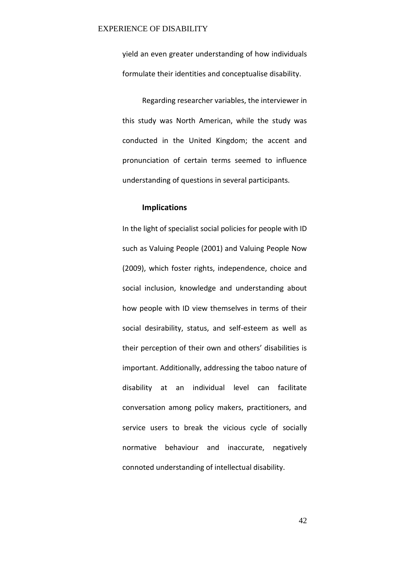yield an even greater understanding of how individuals formulate their identities and conceptualise disability.

Regarding researcher variables, the interviewer in this study was North American, while the study was conducted in the United Kingdom; the accent and pronunciation of certain terms seemed to influence understanding of questions in several participants.

# **Implications**

In the light of specialist social policies for people with ID such as Valuing People (2001) and Valuing People Now (2009), which foster rights, independence, choice and social inclusion, knowledge and understanding about how people with ID view themselves in terms of their social desirability, status, and self-esteem as well as their perception of their own and others' disabilities is important. Additionally, addressing the taboo nature of disability at an individual level can facilitate conversation among policy makers, practitioners, and service users to break the vicious cycle of socially normative behaviour and inaccurate, negatively connoted understanding of intellectual disability.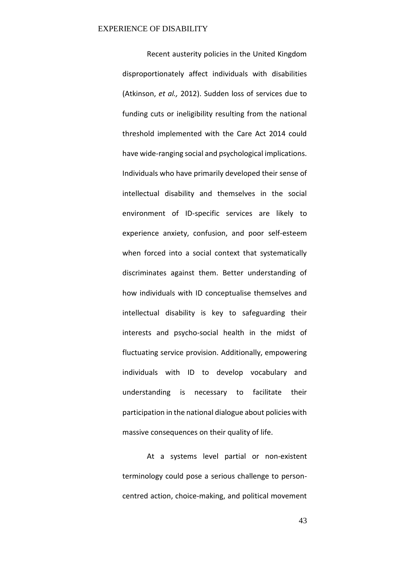Recent austerity policies in the United Kingdom disproportionately affect individuals with disabilities (Atkinson, *et al.,* 2012). Sudden loss of services due to funding cuts or ineligibility resulting from the national threshold implemented with the Care Act 2014 could have wide-ranging social and psychological implications. Individuals who have primarily developed their sense of intellectual disability and themselves in the social environment of ID-specific services are likely to experience anxiety, confusion, and poor self-esteem when forced into a social context that systematically discriminates against them. Better understanding of how individuals with ID conceptualise themselves and intellectual disability is key to safeguarding their interests and psycho-social health in the midst of fluctuating service provision. Additionally, empowering individuals with ID to develop vocabulary and understanding is necessary to facilitate their participation in the national dialogue about policies with massive consequences on their quality of life.

At a systems level partial or non-existent terminology could pose a serious challenge to personcentred action, choice-making, and political movement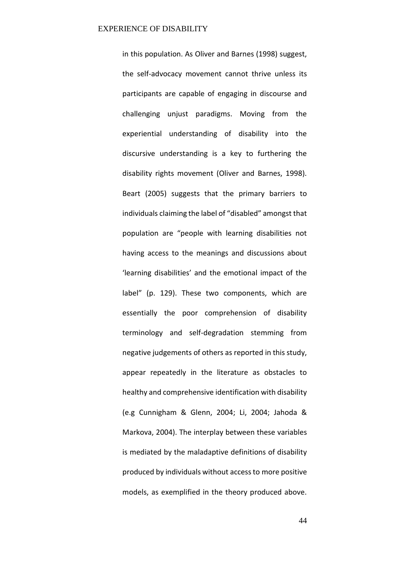in this population. As Oliver and Barnes (1998) suggest, the self-advocacy movement cannot thrive unless its participants are capable of engaging in discourse and challenging unjust paradigms. Moving from the experiential understanding of disability into the discursive understanding is a key to furthering the disability rights movement (Oliver and Barnes, 1998). Beart (2005) suggests that the primary barriers to individuals claiming the label of "disabled" amongst that population are "people with learning disabilities not having access to the meanings and discussions about 'learning disabilities' and the emotional impact of the label" (p. 129). These two components, which are essentially the poor comprehension of disability terminology and self-degradation stemming from negative judgements of others as reported in this study, appear repeatedly in the literature as obstacles to healthy and comprehensive identification with disability (e.g Cunnigham & Glenn, 2004; Li, 2004; Jahoda & Markova, 2004). The interplay between these variables is mediated by the maladaptive definitions of disability produced by individuals without access to more positive models, as exemplified in the theory produced above.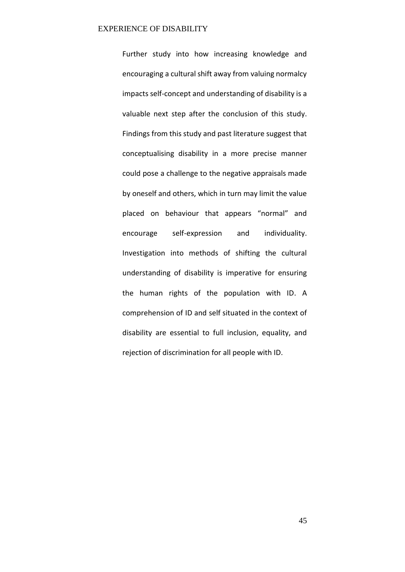Further study into how increasing knowledge and encouraging a cultural shift away from valuing normalcy impacts self-concept and understanding of disability is a valuable next step after the conclusion of this study. Findings from this study and past literature suggest that conceptualising disability in a more precise manner could pose a challenge to the negative appraisals made by oneself and others, which in turn may limit the value placed on behaviour that appears "normal" and encourage self-expression and individuality. Investigation into methods of shifting the cultural understanding of disability is imperative for ensuring the human rights of the population with ID. A comprehension of ID and self situated in the context of disability are essential to full inclusion, equality, and rejection of discrimination for all people with ID.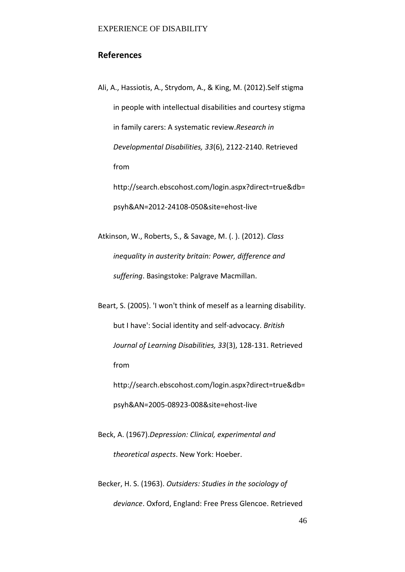# **References**

Ali, A., Hassiotis, A., Strydom, A., & King, M. (2012).Self stigma in people with intellectual disabilities and courtesy stigma in family carers: A systematic review.*Research in Developmental Disabilities, 33*(6), 2122-2140. Retrieved from http://search.ebscohost.com/login.aspx?direct=true&db= psyh&AN=2012-24108-050&site=ehost-live

Atkinson, W., Roberts, S., & Savage, M. (. ). (2012). *Class inequality in austerity britain: Power, difference and suffering*. Basingstoke: Palgrave Macmillan.

Beart, S. (2005). 'I won't think of meself as a learning disability. but I have': Social identity and self-advocacy. *British Journal of Learning Disabilities, 33*(3), 128-131. Retrieved from http://search.ebscohost.com/login.aspx?direct=true&db=

psyh&AN=2005-08923-008&site=ehost-live

Beck, A. (1967).*Depression: Clinical, experimental and theoretical aspects*. New York: Hoeber.

Becker, H. S. (1963). *Outsiders: Studies in the sociology of deviance*. Oxford, England: Free Press Glencoe. Retrieved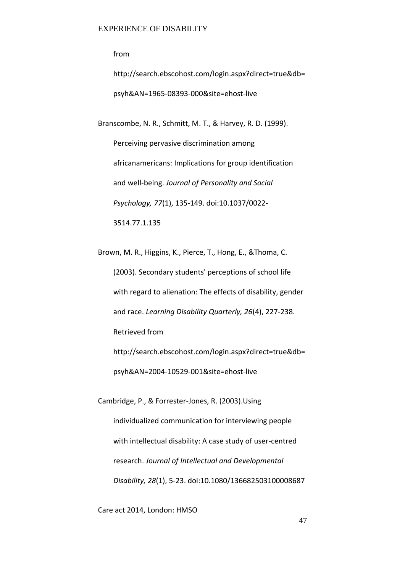from

http://search.ebscohost.com/login.aspx?direct=true&db= psyh&AN=1965-08393-000&site=ehost-live

Branscombe, N. R., Schmitt, M. T., & Harvey, R. D. (1999).

Perceiving pervasive discrimination among africanamericans: Implications for group identification and well-being. *Journal of Personality and Social Psychology, 77*(1), 135-149. doi:10.1037/0022- 3514.77.1.135

Brown, M. R., Higgins, K., Pierce, T., Hong, E., &Thoma, C. (2003). Secondary students' perceptions of school life with regard to alienation: The effects of disability, gender and race. *Learning Disability Quarterly, 26*(4), 227-238. Retrieved from http://search.ebscohost.com/login.aspx?direct=true&db= psyh&AN=2004-10529-001&site=ehost-live

Cambridge, P., & Forrester-Jones, R. (2003).Using individualized communication for interviewing people with intellectual disability: A case study of user-centred research. *Journal of Intellectual and Developmental Disability, 28*(1), 5-23. doi:10.1080/136682503100008687

Care act 2014, London: HMSO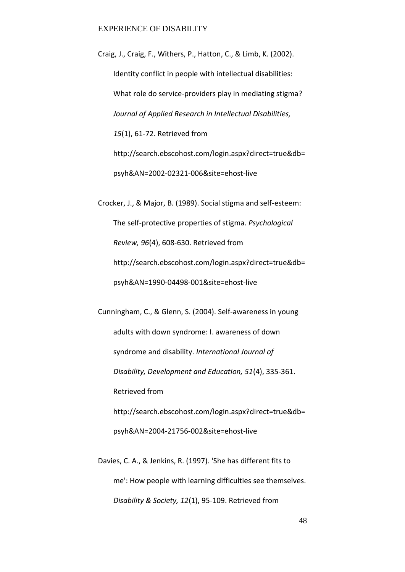Craig, J., Craig, F., Withers, P., Hatton, C., & Limb, K. (2002). Identity conflict in people with intellectual disabilities: What role do service-providers play in mediating stigma? *Journal of Applied Research in Intellectual Disabilities, 15*(1), 61-72. Retrieved from http://search.ebscohost.com/login.aspx?direct=true&db= psyh&AN=2002-02321-006&site=ehost-live

Crocker, J., & Major, B. (1989). Social stigma and self-esteem: The self-protective properties of stigma. *Psychological Review, 96*(4), 608-630. Retrieved from http://search.ebscohost.com/login.aspx?direct=true&db= psyh&AN=1990-04498-001&site=ehost-live

Cunningham, C., & Glenn, S. (2004). Self-awareness in young adults with down syndrome: I. awareness of down syndrome and disability. *International Journal of Disability, Development and Education, 51*(4), 335-361. Retrieved from http://search.ebscohost.com/login.aspx?direct=true&db= psyh&AN=2004-21756-002&site=ehost-live

Davies, C. A., & Jenkins, R. (1997). 'She has different fits to me': How people with learning difficulties see themselves. *Disability & Society, 12*(1), 95-109. Retrieved from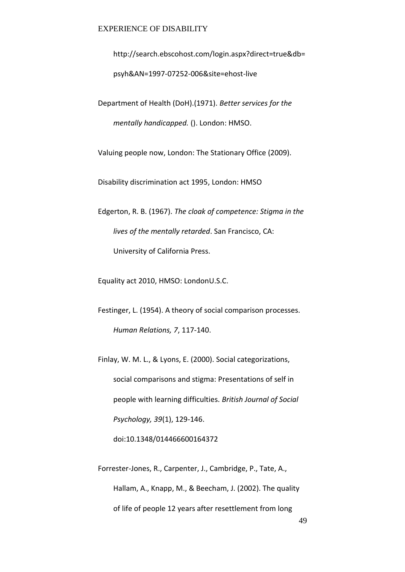http://search.ebscohost.com/login.aspx?direct=true&db= psyh&AN=1997-07252-006&site=ehost-live

Department of Health (DoH).(1971). *Better services for the mentally handicapped.* (). London: HMSO.

Valuing people now, London: The Stationary Office (2009).

Disability discrimination act 1995, London: HMSO

Edgerton, R. B. (1967). *The cloak of competence: Stigma in the lives of the mentally retarded*. San Francisco, CA: University of California Press.

Equality act 2010, HMSO: LondonU.S.C.

Festinger, L. (1954). A theory of social comparison processes. *Human Relations, 7*, 117-140.

Finlay, W. M. L., & Lyons, E. (2000). Social categorizations, social comparisons and stigma: Presentations of self in people with learning difficulties. *British Journal of Social Psychology, 39*(1), 129-146.

doi:10.1348/014466600164372

Forrester-Jones, R., Carpenter, J., Cambridge, P., Tate, A., Hallam, A., Knapp, M., & Beecham, J. (2002). The quality of life of people 12 years after resettlement from long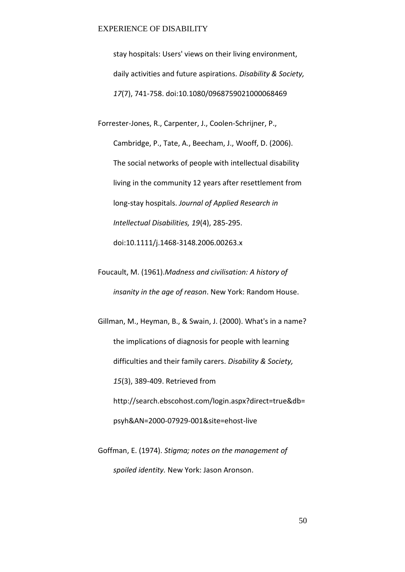stay hospitals: Users' views on their living environment, daily activities and future aspirations. *Disability & Society, 17*(7), 741-758. doi:10.1080/0968759021000068469

Forrester-Jones, R., Carpenter, J., Coolen-Schrijner, P., Cambridge, P., Tate, A., Beecham, J., Wooff, D. (2006). The social networks of people with intellectual disability living in the community 12 years after resettlement from long-stay hospitals. *Journal of Applied Research in Intellectual Disabilities, 19*(4), 285-295. doi:10.1111/j.1468-3148.2006.00263.x

Foucault, M. (1961).*Madness and civilisation: A history of insanity in the age of reason*. New York: Random House.

Gillman, M., Heyman, B., & Swain, J. (2000). What's in a name? the implications of diagnosis for people with learning difficulties and their family carers. *Disability & Society, 15*(3), 389-409. Retrieved from http://search.ebscohost.com/login.aspx?direct=true&db= psyh&AN=2000-07929-001&site=ehost-live

Goffman, E. (1974). *Stigma; notes on the management of spoiled identity.* New York: Jason Aronson.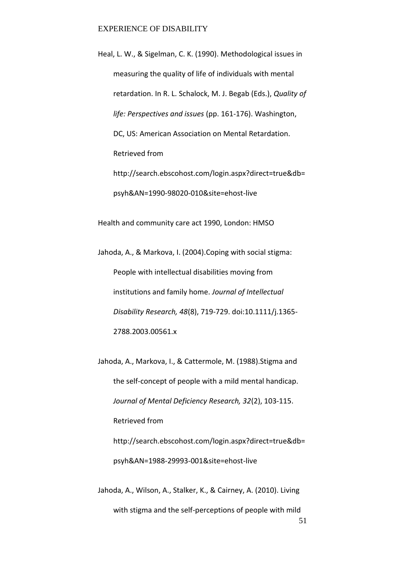Heal, L. W., & Sigelman, C. K. (1990). Methodological issues in measuring the quality of life of individuals with mental retardation. In R. L. Schalock, M. J. Begab (Eds.), *Quality of life: Perspectives and issues* (pp. 161-176). Washington, DC, US: American Association on Mental Retardation. Retrieved from http://search.ebscohost.com/login.aspx?direct=true&db= psyh&AN=1990-98020-010&site=ehost-live

Health and community care act 1990, London: HMSO

Jahoda, A., & Markova, I. (2004).Coping with social stigma: People with intellectual disabilities moving from institutions and family home. *Journal of Intellectual Disability Research, 48*(8), 719-729. doi:10.1111/j.1365- 2788.2003.00561.x

Jahoda, A., Markova, I., & Cattermole, M. (1988).Stigma and the self-concept of people with a mild mental handicap. *Journal of Mental Deficiency Research, 32*(2), 103-115. Retrieved from http://search.ebscohost.com/login.aspx?direct=true&db= psyh&AN=1988-29993-001&site=ehost-live

51 Jahoda, A., Wilson, A., Stalker, K., & Cairney, A. (2010). Living with stigma and the self-perceptions of people with mild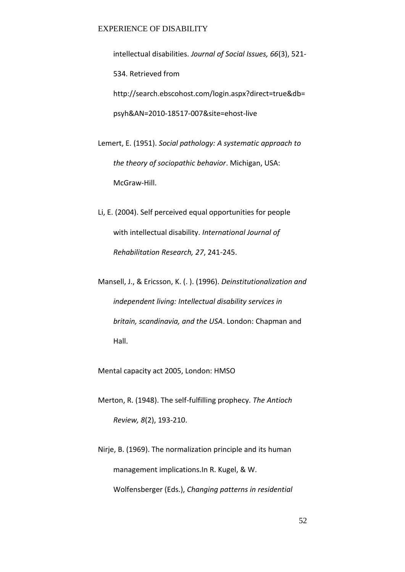intellectual disabilities. *Journal of Social Issues, 66*(3), 521- 534. Retrieved from http://search.ebscohost.com/login.aspx?direct=true&db= psyh&AN=2010-18517-007&site=ehost-live

- Lemert, E. (1951). *Social pathology: A systematic approach to the theory of sociopathic behavior*. Michigan, USA: McGraw-Hill.
- Li, E. (2004). Self perceived equal opportunities for people with intellectual disability. *International Journal of Rehabilitation Research, 27*, 241-245.
- Mansell, J., & Ericsson, K. (. ). (1996). *Deinstitutionalization and independent living: Intellectual disability services in britain, scandinavia, and the USA*. London: Chapman and Hall.

Mental capacity act 2005, London: HMSO

Merton, R. (1948). The self-fulfilling prophecy. *The Antioch Review, 8*(2), 193-210.

Nirje, B. (1969). The normalization principle and its human management implications.In R. Kugel, & W. Wolfensberger (Eds.), *Changing patterns in residential*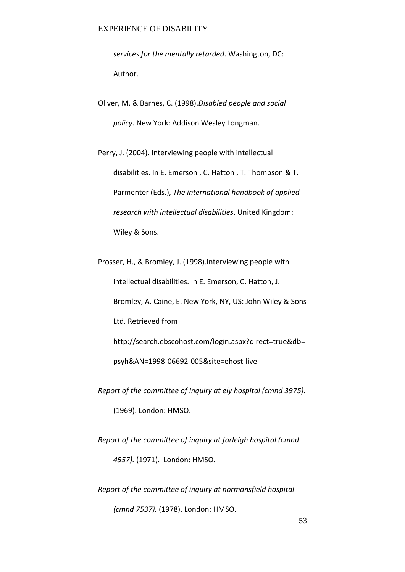*services for the mentally retarded*. Washington, DC: Author.

Oliver, M. & Barnes, C. (1998).*Disabled people and social policy*. New York: Addison Wesley Longman.

Perry, J. (2004). Interviewing people with intellectual disabilities. In E. Emerson , C. Hatton , T. Thompson & T. Parmenter (Eds.), *The international handbook of applied research with intellectual disabilities*. United Kingdom: Wiley & Sons.

Prosser, H., & Bromley, J. (1998).Interviewing people with intellectual disabilities. In E. Emerson, C. Hatton, J. Bromley, A. Caine, E. New York, NY, US: John Wiley & Sons Ltd. Retrieved from http://search.ebscohost.com/login.aspx?direct=true&db= psyh&AN=1998-06692-005&site=ehost-live

*Report of the committee of inquiry at ely hospital (cmnd 3975).*  (1969). London: HMSO.

*Report of the committee of inquiry at farleigh hospital (cmnd 4557).* (1971). London: HMSO.

*Report of the committee of inquiry at normansfield hospital (cmnd 7537).* (1978). London: HMSO.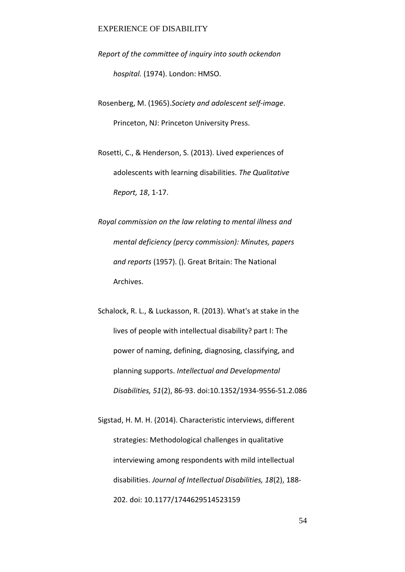- *Report of the committee of inquiry into south ockendon hospital.* (1974). London: HMSO.
- Rosenberg, M. (1965).*Society and adolescent self-image*. Princeton, NJ: Princeton University Press.
- Rosetti, C., & Henderson, S. (2013). Lived experiences of adolescents with learning disabilities. *The Qualitative Report, 18*, 1-17.
- *Royal commission on the law relating to mental illness and mental deficiency (percy commission): Minutes, papers and reports* (1957). (). Great Britain: The National Archives.
- Schalock, R. L., & Luckasson, R. (2013). What's at stake in the lives of people with intellectual disability? part I: The power of naming, defining, diagnosing, classifying, and planning supports. *Intellectual and Developmental Disabilities, 51*(2), 86-93. doi:10.1352/1934-9556-51.2.086
- Sigstad, H. M. H. (2014). Characteristic interviews, different strategies: Methodological challenges in qualitative interviewing among respondents with mild intellectual disabilities. *Journal of Intellectual Disabilities, 18*(2), 188- 202. doi: 10.1177/1744629514523159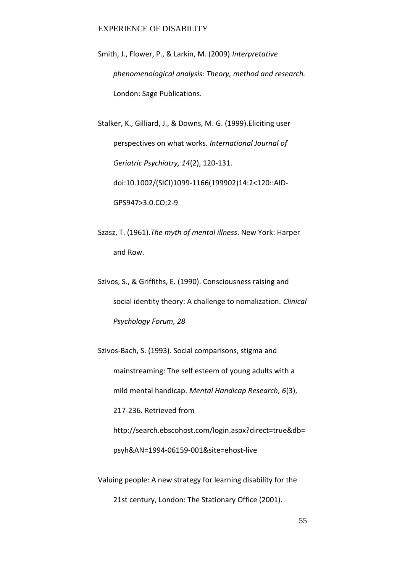Smith, J., Flower, P., & Larkin, M. (2009).*Interpretative phenomenological analysis: Theory, method and research.* London: Sage Publications.

Stalker, K., Gilliard, J., & Downs, M. G. (1999).Eliciting user perspectives on what works. *International Journal of Geriatric Psychiatry, 14*(2), 120-131. doi:10.1002/(SICI)1099-1166(199902)14:2<120::AID-GPS947>3.0.CO;2-9

Szasz, T. (1961).*The myth of mental illness*. New York: Harper and Row.

Szivos, S., & Griffiths, E. (1990). Consciousness raising and social identity theory: A challenge to nomalization. *Clinical Psychology Forum, 28*

Szivos-Bach, S. (1993). Social comparisons, stigma and mainstreaming: The self esteem of young adults with a mild mental handicap. *Mental Handicap Research, 6*(3), 217-236. Retrieved from http://search.ebscohost.com/login.aspx?direct=true&db= psyh&AN=1994-06159-001&site=ehost-live

Valuing people: A new strategy for learning disability for the 21st century, London: The Stationary Office (2001).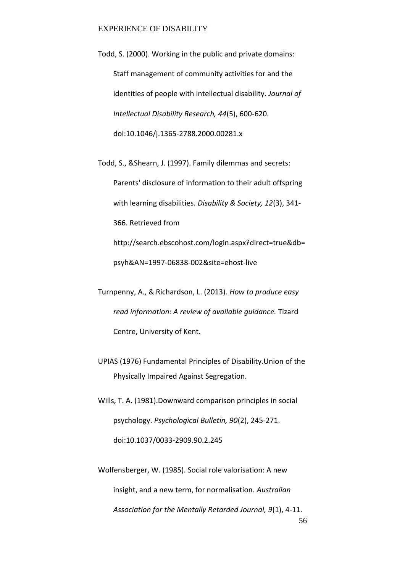Todd, S. (2000). Working in the public and private domains: Staff management of community activities for and the identities of people with intellectual disability. *Journal of Intellectual Disability Research, 44*(5), 600-620. doi:10.1046/j.1365-2788.2000.00281.x

Todd, S., &Shearn, J. (1997). Family dilemmas and secrets: Parents' disclosure of information to their adult offspring with learning disabilities. *Disability & Society, 12*(3), 341- 366. Retrieved from http://search.ebscohost.com/login.aspx?direct=true&db=

psyh&AN=1997-06838-002&site=ehost-live

Turnpenny, A., & Richardson, L. (2013). *How to produce easy read information: A review of available guidance.* Tizard Centre, University of Kent.

- UPIAS (1976) Fundamental Principles of Disability.Union of the Physically Impaired Against Segregation.
- Wills, T. A. (1981).Downward comparison principles in social psychology. *Psychological Bulletin, 90*(2), 245-271. doi:10.1037/0033-2909.90.2.245
- 56 Wolfensberger, W. (1985). Social role valorisation: A new insight, and a new term, for normalisation. *Australian Association for the Mentally Retarded Journal, 9*(1), 4-11.